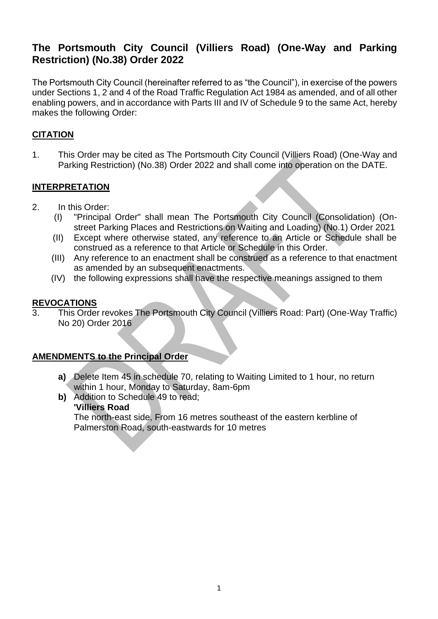# **The Portsmouth City Council (Villiers Road) (One-Way and Parking Restriction) (No.38) Order 2022**

The Portsmouth City Council (hereinafter referred to as "the Council"), in exercise of the powers under Sections 1, 2 and 4 of the Road Traffic Regulation Act 1984 as amended, and of all other enabling powers, and in accordance with Parts III and IV of Schedule 9 to the same Act, hereby makes the following Order:

## **CITATION**

1. This Order may be cited as The Portsmouth City Council (Villiers Road) (One-Way and Parking Restriction) (No.38) Order 2022 and shall come into operation on the DATE.

## **INTERPRETATION**

- 2. In this Order:
	- (I) "Principal Order" shall mean The Portsmouth City Council (Consolidation) (Onstreet Parking Places and Restrictions on Waiting and Loading) (No.1) Order 2021
	- (II) Except where otherwise stated, any reference to an Article or Schedule shall be construed as a reference to that Article or Schedule in this Order.
	- (III) Any reference to an enactment shall be construed as a reference to that enactment as amended by an subsequent enactments.
	- (IV) the following expressions shall have the respective meanings assigned to them

### **REVOCATIONS**

3. This Order revokes The Portsmouth City Council (Villiers Road: Part) (One-Way Traffic) No 20) Order 2016

### **AMENDMENTS to the Principal Order**

- **a)** Delete Item 45 in schedule 70, relating to Waiting Limited to 1 hour, no return within 1 hour, Monday to Saturday, 8am-6pm
- **b)** Addition to Schedule 49 to read: **'Villiers Road**

The north-east side, From 16 metres southeast of the eastern kerbline of Palmerston Road, south-eastwards for 10 metres